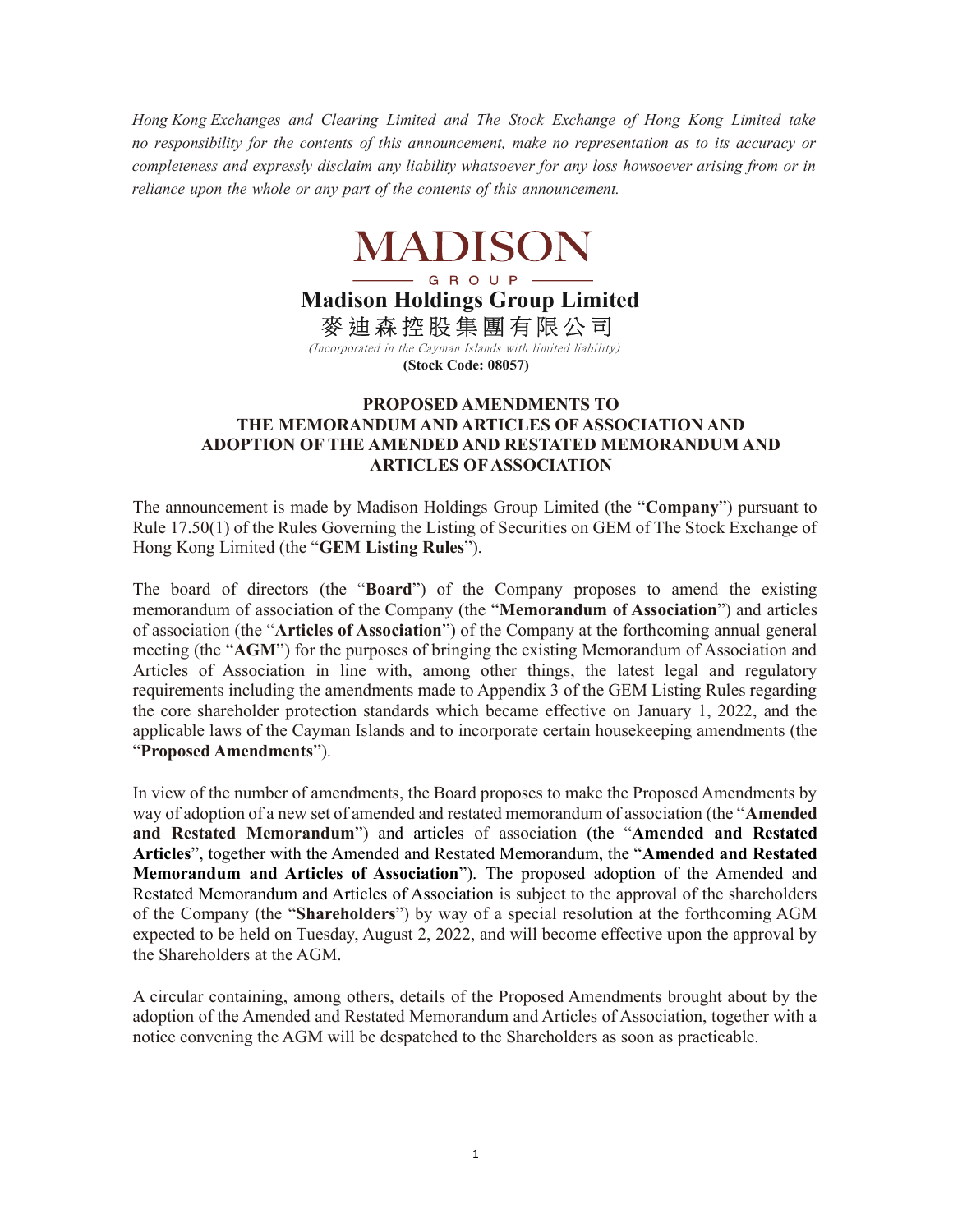Hong Kong Exchanges and Clearing Limited and The Stock Exchange of Hong Kong Limited take no responsibility for the contents of this announcement, make no representation as to its accuracy or completeness and expressly disclaim any liability whatsoever for any loss howsoever arising from or in reliance upon the whole or any part of the contents of this announcement.

## **MADISON**

Madison Holdings Group Limited 麥 迪 森 控 股 集 團 有 限 公 司

 (Incorporated in the Cayman Islands with limited liability) (Stock Code: 08057)

## PROPOSED AMENDMENTS TO THE MEMORANDUM AND ARTICLES OF ASSOCIATION AND ADOPTION OF THE AMENDED AND RESTATED MEMORANDUM AND ARTICLES OF ASSOCIATION

The announcement is made by Madison Holdings Group Limited (the "Company") pursuant to Rule 17.50(1) of the Rules Governing the Listing of Securities on GEM of The Stock Exchange of Hong Kong Limited (the "GEM Listing Rules").

The board of directors (the "Board") of the Company proposes to amend the existing memorandum of association of the Company (the "Memorandum of Association") and articles of association (the "Articles of Association") of the Company at the forthcoming annual general meeting (the "AGM") for the purposes of bringing the existing Memorandum of Association and Articles of Association in line with, among other things, the latest legal and regulatory requirements including the amendments made to Appendix 3 of the GEM Listing Rules regarding the core shareholder protection standards which became effective on January 1, 2022, and the applicable laws of the Cayman Islands and to incorporate certain housekeeping amendments (the "Proposed Amendments").

In view of the number of amendments, the Board proposes to make the Proposed Amendments by way of adoption of a new set of amended and restated memorandum of association (the "Amended and Restated Memorandum") and articles of association (the "Amended and Restated Articles", together with the Amended and Restated Memorandum, the "Amended and Restated Memorandum and Articles of Association"). The proposed adoption of the Amended and Restated Memorandum and Articles of Association is subject to the approval of the shareholders of the Company (the "Shareholders") by way of a special resolution at the forthcoming AGM expected to be held on Tuesday, August 2, 2022, and will become effective upon the approval by the Shareholders at the AGM.

A circular containing, among others, details of the Proposed Amendments brought about by the adoption of the Amended and Restated Memorandum and Articles of Association, together with a notice convening the AGM will be despatched to the Shareholders as soon as practicable.